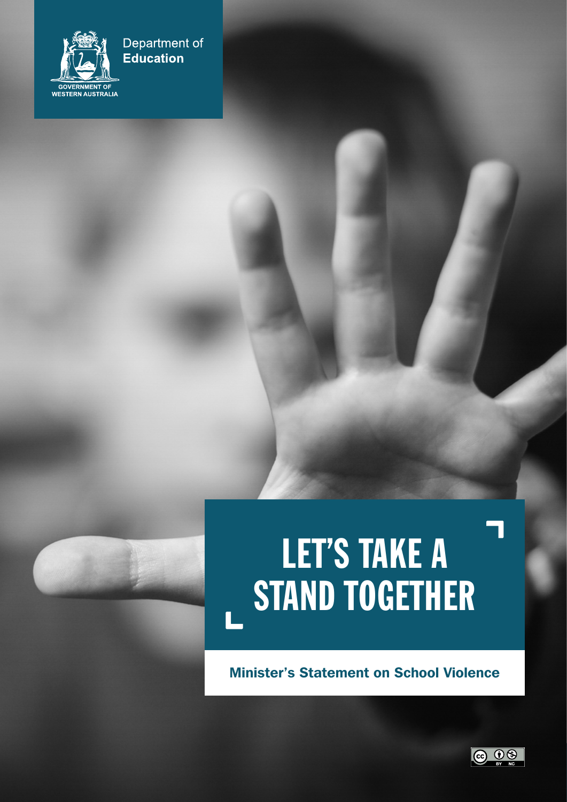

## Department of **Education**

## LET'S TAKE A STAND TOGETHER

Minister's Statement on School Violence

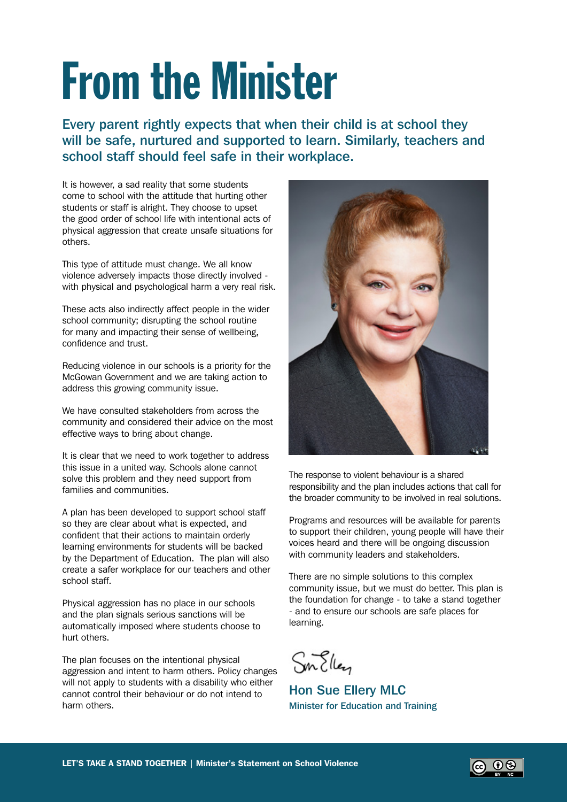## From the Minister

Every parent rightly expects that when their child is at school they will be safe, nurtured and supported to learn. Similarly, teachers and school staff should feel safe in their workplace.

It is however, a sad reality that some students come to school with the attitude that hurting other students or staff is alright. They choose to upset the good order of school life with intentional acts of physical aggression that create unsafe situations for others.

This type of attitude must change. We all know violence adversely impacts those directly involved with physical and psychological harm a very real risk.

These acts also indirectly affect people in the wider school community; disrupting the school routine for many and impacting their sense of wellbeing, confidence and trust.

Reducing violence in our schools is a priority for the McGowan Government and we are taking action to address this growing community issue.

We have consulted stakeholders from across the community and considered their advice on the most effective ways to bring about change.

It is clear that we need to work together to address this issue in a united way. Schools alone cannot solve this problem and they need support from families and communities.

A plan has been developed to support school staff so they are clear about what is expected, and confident that their actions to maintain orderly learning environments for students will be backed by the Department of Education. The plan will also create a safer workplace for our teachers and other school staff.

Physical aggression has no place in our schools and the plan signals serious sanctions will be automatically imposed where students choose to hurt others.

The plan focuses on the intentional physical aggression and intent to harm others. Policy changes will not apply to students with a disability who either cannot control their behaviour or do not intend to harm others.



The response to violent behaviour is a shared responsibility and the plan includes actions that call for the broader community to be involved in real solutions.

Programs and resources will be available for parents to support their children, young people will have their voices heard and there will be ongoing discussion with community leaders and stakeholders.

There are no simple solutions to this complex community issue, but we must do better. This plan is the foundation for change - to take a stand together - and to ensure our schools are safe places for learning.

Sm Ellen

Hon Sue Ellery MLC Minister for Education and Training

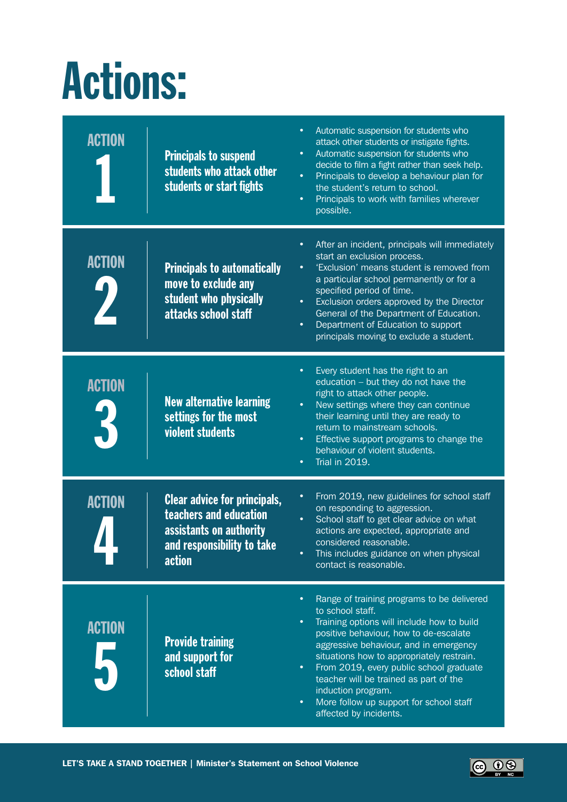## Actions:

| <b>ACTION</b> | <b>Principals to suspend</b><br>students who attack other<br>students or start fights                                            | Automatic suspension for students who<br>$\bullet$<br>attack other students or instigate fights.<br>Automatic suspension for students who<br>$\bullet$<br>decide to film a fight rather than seek help.<br>$\bullet$<br>Principals to develop a behaviour plan for<br>the student's return to school.<br>Principals to work with families wherever<br>$\bullet$<br>possible.                                                                                                      |
|---------------|----------------------------------------------------------------------------------------------------------------------------------|-----------------------------------------------------------------------------------------------------------------------------------------------------------------------------------------------------------------------------------------------------------------------------------------------------------------------------------------------------------------------------------------------------------------------------------------------------------------------------------|
| <b>ACTION</b> | <b>Principals to automatically</b><br>move to exclude any<br>student who physically<br>attacks school staff                      | After an incident, principals will immediately<br>٠<br>start an exclusion process.<br>'Exclusion' means student is removed from<br>$\bullet$<br>a particular school permanently or for a<br>specified period of time.<br>Exclusion orders approved by the Director<br>$\bullet$<br>General of the Department of Education.<br>Department of Education to support<br>$\bullet$<br>principals moving to exclude a student.                                                          |
| <b>ACTION</b> | <b>New alternative learning</b><br>settings for the most<br>violent students                                                     | Every student has the right to an<br>٠<br>education - but they do not have the<br>right to attack other people.<br>New settings where they can continue<br>$\bullet$<br>their learning until they are ready to<br>return to mainstream schools.<br>Effective support programs to change the<br>$\bullet$<br>behaviour of violent students.<br><b>Trial in 2019.</b><br>$\bullet$                                                                                                  |
| <b>ACTION</b> | <b>Clear advice for principals,</b><br>teachers and education<br>assistants on authority<br>and responsibility to take<br>action | From 2019, new guidelines for school staff<br>٠<br>on responding to aggression.<br>School staff to get clear advice on what<br>$\bullet$<br>actions are expected, appropriate and<br>considered reasonable.<br>This includes guidance on when physical<br>contact is reasonable.                                                                                                                                                                                                  |
| <b>ACTION</b> | <b>Provide training</b><br>and support for<br>school staff                                                                       | Range of training programs to be delivered<br>$\bullet$<br>to school staff.<br>Training options will include how to build<br>$\bullet$<br>positive behaviour, how to de-escalate<br>aggressive behaviour, and in emergency<br>situations how to appropriately restrain.<br>From 2019, every public school graduate<br>$\bullet$<br>teacher will be trained as part of the<br>induction program.<br>More follow up support for school staff<br>$\bullet$<br>affected by incidents. |